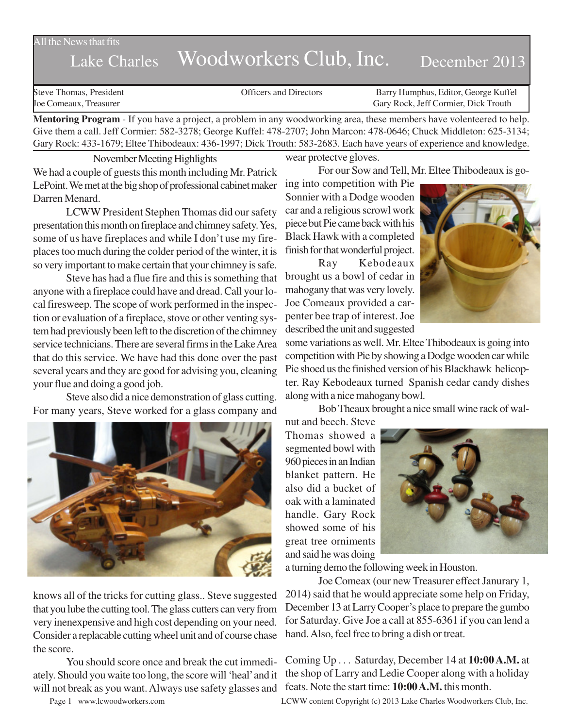All the News that fits

# Lake Charles Woodworkers Club, Inc. December 2013

Steve Thomas, President Officers and Directors Barry Humphus, Editor, George Kuffel Joe Comeaux, Treasurer Gary Rock, Jeff Cormier, Dick Trouth

**Mentoring Program** - If you have a project, a problem in any woodworking area, these members have volenteered to help. Give them a call. Jeff Cormier: 582-3278; George Kuffel: 478-2707; John Marcon: 478-0646; Chuck Middleton: 625-3134; Gary Rock: 433-1679; Eltee Thibodeaux: 436-1997; Dick Trouth: 583-2683. Each have years of experience and knowledge.

November Meeting Highlights We had a couple of guests this month including Mr. Patrick LePoint. We met at the big shop of professional cabinet maker Darren Menard.

LCWW President Stephen Thomas did our safety presentation this month on fireplace and chimney safety. Yes, some of us have fireplaces and while I don't use my fireplaces too much during the colder period of the winter, it is so very important to make certain that your chimney is safe.

Steve has had a flue fire and this is something that anyone with a fireplace could have and dread. Call your local firesweep. The scope of work performed in the inspection or evaluation of a fireplace, stove or other venting system had previously been left to the discretion of the chimney service technicians. There are several firms in the Lake Area that do this service. We have had this done over the past several years and they are good for advising you, cleaning your flue and doing a good job.

Steve also did a nice demonstration of glass cutting. For many years, Steve worked for a glass company and



knows all of the tricks for cutting glass.. Steve suggested that you lube the cutting tool. The glass cutters can very from very inenexpensive and high cost depending on your need. Consider a replacable cutting wheel unit and of course chase the score.

You should score once and break the cut immediately. Should you waite too long, the score will 'heal' and it will not break as you want. Always use safety glasses and

wear protectve gloves.

For our Sow and Tell, Mr. Eltee Thibodeaux is go-

ing into competition with Pie Sonnier with a Dodge wooden car and a religious scrowl work piece but Pie came back with his Black Hawk with a completed finish for that wonderful project.

Ray Kebodeaux brought us a bowl of cedar in mahogany that was very lovely. Joe Comeaux provided a carpenter bee trap of interest. Joe described the unit and suggested



some variations as well. Mr. Eltee Thibodeaux is going into competition with Pie by showing a Dodge wooden car while Pie shoed us the finished version of his Blackhawk helicopter. Ray Kebodeaux turned Spanish cedar candy dishes along with a nice mahogany bowl.

Bob Theaux brought a nice small wine rack of wal-

nut and beech. Steve Thomas showed a segmented bowl with 960 pieces in an Indian blanket pattern. He also did a bucket of oak with a laminated handle. Gary Rock showed some of his great tree orniments and said he was doing



a turning demo the following week in Houston.

Joe Comeax (our new Treasurer effect Janurary 1, 2014) said that he would appreciate some help on Friday, December 13 at Larry Cooper's place to prepare the gumbo for Saturday. Give Joe a call at 855-6361 if you can lend a hand. Also, feel free to bring a dish or treat.

Coming Up . . . Saturday, December 14 at **10:00 A.M.** at the shop of Larry and Ledie Cooper along with a holiday feats. Note the start time: **10:00 A.M.** this month.

Page 1 www.lcwoodworkers.com LCWW content Copyright (c) 2013 Lake Charles Woodworkers Club, Inc.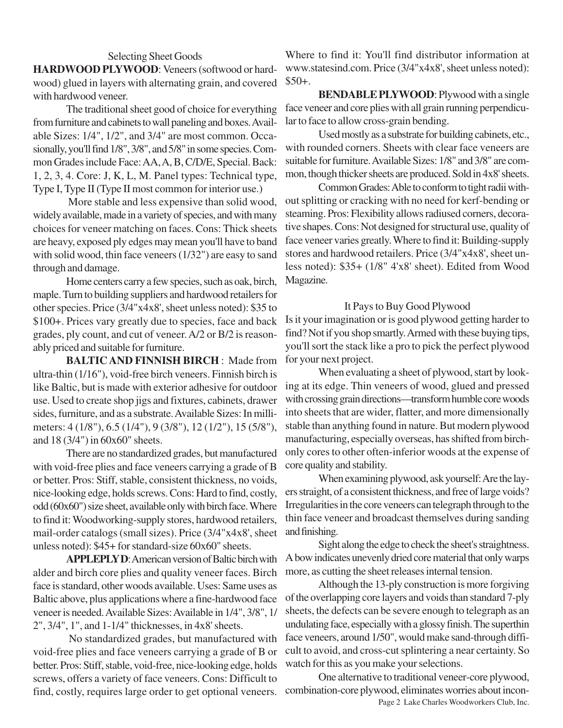### Selecting Sheet Goods

**HARDWOOD PLYWOOD**: Veneers (softwood or hardwood) glued in layers with alternating grain, and covered with hardwood veneer.

The traditional sheet good of choice for everything from furniture and cabinets to wall paneling and boxes. Available Sizes: 1/4", 1/2", and 3/4" are most common. Occasionally, you'll find 1/8", 3/8", and 5/8" in some species. Common Grades include Face: AA, A, B, C/D/E, Special. Back: 1, 2, 3, 4. Core: J, K, L, M. Panel types: Technical type, Type I, Type II (Type II most common for interior use.)

 More stable and less expensive than solid wood, widely available, made in a variety of species, and with many choices for veneer matching on faces. Cons: Thick sheets are heavy, exposed ply edges may mean you'll have to band with solid wood, thin face veneers (1/32") are easy to sand through and damage.

Home centers carry a few species, such as oak, birch, maple. Turn to building suppliers and hardwood retailers for other species. Price (3/4"x4x8', sheet unless noted): \$35 to \$100+. Prices vary greatly due to species, face and back grades, ply count, and cut of veneer. A/2 or B/2 is reasonably priced and suitable for furniture.

**BALTIC AND FINNISH BIRCH** : Made from ultra-thin (1/16"), void-free birch veneers. Finnish birch is like Baltic, but is made with exterior adhesive for outdoor use. Used to create shop jigs and fixtures, cabinets, drawer sides, furniture, and as a substrate. Available Sizes: In millimeters: 4 (1/8"), 6.5 (1/4"), 9 (3/8"), 12 (1/2"), 15 (5/8"), and 18 (3/4") in 60x60" sheets.

There are no standardized grades, but manufactured with void-free plies and face veneers carrying a grade of B or better. Pros: Stiff, stable, consistent thickness, no voids, nice-looking edge, holds screws. Cons: Hard to find, costly, odd (60x60") size sheet, available only with birch face. Where to find it: Woodworking-supply stores, hardwood retailers, mail-order catalogs (small sizes). Price (3/4"x4x8', sheet unless noted): \$45+ for standard-size 60x60" sheets.

**APPLEPLY D**: American version of Baltic birch with alder and birch core plies and quality veneer faces. Birch face is standard, other woods available. Uses: Same uses as Baltic above, plus applications where a fine-hardwood face veneer is needed. Available Sizes: Available in 1/4", 3/8", 1/ 2", 3/4", 1", and 1-1/4" thicknesses, in 4x8' sheets.

 No standardized grades, but manufactured with void-free plies and face veneers carrying a grade of B or better. Pros: Stiff, stable, void-free, nice-looking edge, holds screws, offers a variety of face veneers. Cons: Difficult to find, costly, requires large order to get optional veneers.

Where to find it: You'll find distributor information at www.statesind.com. Price (3/4"x4x8', sheet unless noted): \$50+.

**BENDABLE PLYWOOD**: Plywood with a single face veneer and core plies with all grain running perpendicular to face to allow cross-grain bending.

Used mostly as a substrate for building cabinets, etc., with rounded corners. Sheets with clear face veneers are suitable for furniture. Available Sizes: 1/8" and 3/8" are common, though thicker sheets are produced. Sold in 4x8' sheets.

Common Grades: Able to conform to tight radii without splitting or cracking with no need for kerf-bending or steaming. Pros: Flexibility allows radiused corners, decorative shapes. Cons: Not designed for structural use, quality of face veneer varies greatly. Where to find it: Building-supply stores and hardwood retailers. Price (3/4"x4x8', sheet unless noted): \$35+ (1/8" 4'x8' sheet). Edited from Wood Magazine.

#### It Pays to Buy Good Plywood

Is it your imagination or is good plywood getting harder to find? Not if you shop smartly. Armed with these buying tips, you'll sort the stack like a pro to pick the perfect plywood for your next project.

When evaluating a sheet of plywood, start by looking at its edge. Thin veneers of wood, glued and pressed with crossing grain directions—transform humble core woods into sheets that are wider, flatter, and more dimensionally stable than anything found in nature. But modern plywood manufacturing, especially overseas, has shifted from birchonly cores to other often-inferior woods at the expense of core quality and stability.

When examining plywood, ask yourself: Are the layers straight, of a consistent thickness, and free of large voids? Irregularities in the core veneers can telegraph through to the thin face veneer and broadcast themselves during sanding and finishing.

Sight along the edge to check the sheet's straightness. A bow indicates unevenly dried core material that only warps more, as cutting the sheet releases internal tension.

Although the 13-ply construction is more forgiving of the overlapping core layers and voids than standard 7-ply sheets, the defects can be severe enough to telegraph as an undulating face, especially with a glossy finish. The superthin face veneers, around 1/50", would make sand-through difficult to avoid, and cross-cut splintering a near certainty. So watch for this as you make your selections.

Page 2 Lake Charles Woodworkers Club, Inc. One alternative to traditional veneer-core plywood, combination-core plywood, eliminates worries about incon-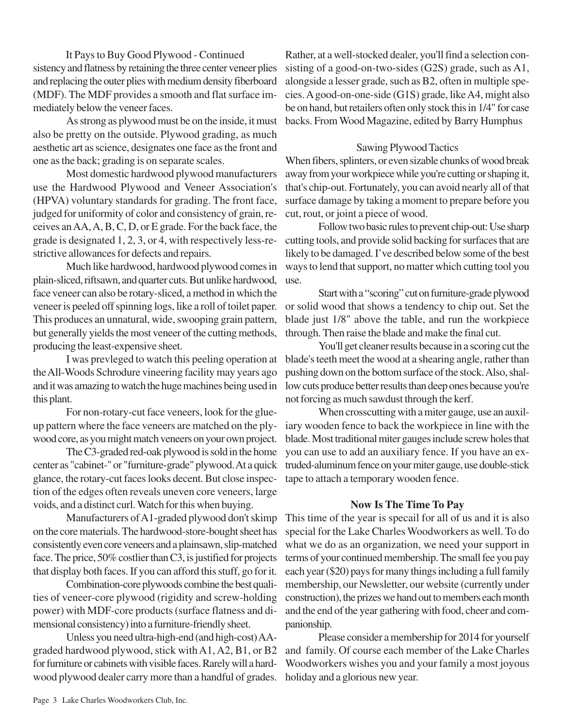It Pays to Buy Good Plywood - Continued sistency and flatness by retaining the three center veneer plies and replacing the outer plies with medium density fiberboard (MDF). The MDF provides a smooth and flat surface immediately below the veneer faces.

As strong as plywood must be on the inside, it must also be pretty on the outside. Plywood grading, as much aesthetic art as science, designates one face as the front and one as the back; grading is on separate scales.

Most domestic hardwood plywood manufacturers use the Hardwood Plywood and Veneer Association's (HPVA) voluntary standards for grading. The front face, judged for uniformity of color and consistency of grain, receives an AA, A, B, C, D, or E grade. For the back face, the grade is designated 1, 2, 3, or 4, with respectively less-restrictive allowances for defects and repairs.

Much like hardwood, hardwood plywood comes in plain-sliced, riftsawn, and quarter cuts. But unlike hardwood, face veneer can also be rotary-sliced, a method in which the veneer is peeled off spinning logs, like a roll of toilet paper. This produces an unnatural, wide, swooping grain pattern, but generally yields the most veneer of the cutting methods, producing the least-expensive sheet.

I was prevleged to watch this peeling operation at the All-Woods Schrodure vineering facility may years ago and it was amazing to watch the huge machines being used in this plant.

For non-rotary-cut face veneers, look for the glueup pattern where the face veneers are matched on the plywood core, as you might match veneers on your own project.

The C3-graded red-oak plywood is sold in the home center as "cabinet-" or "furniture-grade" plywood. At a quick glance, the rotary-cut faces looks decent. But close inspection of the edges often reveals uneven core veneers, large voids, and a distinct curl. Watch for this when buying.

Manufacturers of A1-graded plywood don't skimp on the core materials. The hardwood-store-bought sheet has consistently even core veneers and a plainsawn, slip-matched face. The price, 50% costlier than C3, is justified for projects that display both faces. If you can afford this stuff, go for it.

Combination-core plywoods combine the best qualities of veneer-core plywood (rigidity and screw-holding power) with MDF-core products (surface flatness and dimensional consistency) into a furniture-friendly sheet.

Unless you need ultra-high-end (and high-cost) AAgraded hardwood plywood, stick with A1, A2, B1, or B2 for furniture or cabinets with visible faces. Rarely will a hardwood plywood dealer carry more than a handful of grades.

Rather, at a well-stocked dealer, you'll find a selection consisting of a good-on-two-sides (G2S) grade, such as A1, alongside a lesser grade, such as B2, often in multiple species. A good-on-one-side (G1S) grade, like A4, might also be on hand, but retailers often only stock this in 1/4" for case backs. From Wood Magazine, edited by Barry Humphus

## Sawing Plywood Tactics

When fibers, splinters, or even sizable chunks of wood break away from your workpiece while you're cutting or shaping it, that's chip-out. Fortunately, you can avoid nearly all of that surface damage by taking a moment to prepare before you cut, rout, or joint a piece of wood.

Follow two basic rules to prevent chip-out: Use sharp cutting tools, and provide solid backing for surfaces that are likely to be damaged. I've described below some of the best ways to lend that support, no matter which cutting tool you use.

Start with a "scoring" cut on furniture-grade plywood or solid wood that shows a tendency to chip out. Set the blade just 1/8" above the table, and run the workpiece through. Then raise the blade and make the final cut.

You'll get cleaner results because in a scoring cut the blade's teeth meet the wood at a shearing angle, rather than pushing down on the bottom surface of the stock. Also, shallow cuts produce better results than deep ones because you're not forcing as much sawdust through the kerf.

When crosscutting with a miter gauge, use an auxiliary wooden fence to back the workpiece in line with the blade. Most traditional miter gauges include screw holes that you can use to add an auxiliary fence. If you have an extruded-aluminum fence on your miter gauge, use double-stick tape to attach a temporary wooden fence.

## **Now Is The Time To Pay**

This time of the year is specail for all of us and it is also special for the Lake Charles Woodworkers as well. To do what we do as an organization, we need your support in terms of your continued membership. The small fee you pay each year (\$20) pays for many things including a full family membership, our Newsletter, our website (currently under construction), the prizes we hand out to members each month and the end of the year gathering with food, cheer and companionship.

Please consider a membership for 2014 for yourself and family. Of course each member of the Lake Charles Woodworkers wishes you and your family a most joyous holiday and a glorious new year.